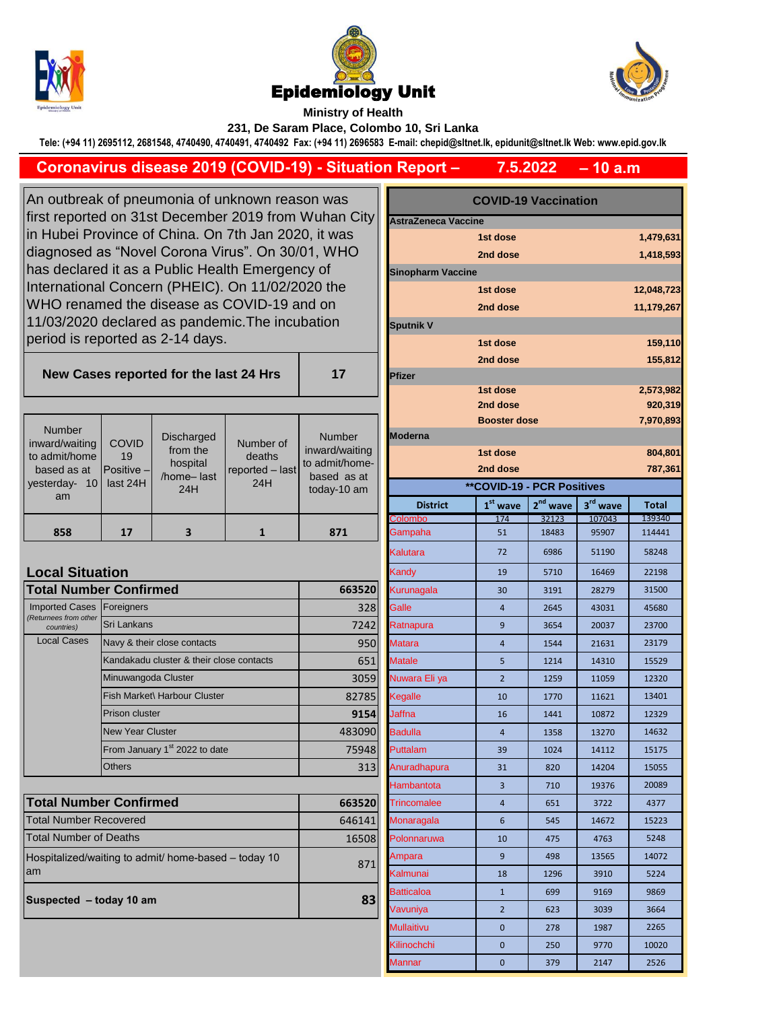





**Ministry of Health 231, De Saram Place, Colombo 10, Sri Lanka**

**Tele: (+94 11) 2695112, 2681548, 4740490, 4740491, 4740492 Fax: (+94 11) 2696583 E-mail: chepid@sltnet.lk, epidunit@sltnet.lk Web: www.epid.gov.lk**

## **– 10 a.m 7.5.2022 Coronavirus disease 2019 (COVID-19) - Situation Report –**

**17**

An outbreak of pneumonia of unknown reason was first reported on 31st December 2019 from Wuhan City in Hubei Province of China. On 7th Jan 2020, it was diagnosed as "Novel Corona Virus". On 30/01, WHO has declared it as a Public Health Emergency of International Concern (PHEIC). On 11/02/2020 the WHO renamed the disease as COVID-19 and on 11/03/2020 declared as pandemic.The incubation period is reported as 2-14 days.

**New Cases reported for the last 24 Hrs** 

| <b>Number</b>                                  | <b>COVID</b>          | Discharged                         | Number of                 | <b>Number</b>                                   | <b>Booster dose</b><br><b>IModerna</b> |                                   |            | 7,970,8    |                |
|------------------------------------------------|-----------------------|------------------------------------|---------------------------|-------------------------------------------------|----------------------------------------|-----------------------------------|------------|------------|----------------|
| inward/waiting<br>to admit/home<br>based as at | 19<br>$P$ ositive $-$ | from the<br>hospital<br>/home-last | deaths<br>reported - last | inward/waiting<br>to admit/home-<br>based as at |                                        | 1st dose<br>2nd dose              |            |            | 804,8<br>787,3 |
| 10 <sup>1</sup><br>yesterday-                  | last 24H              | 24H                                | 24H                       | today-10 am                                     |                                        | <b>**COVID-19 - PCR Positives</b> |            |            |                |
| am                                             |                       |                                    |                           |                                                 | <b>District</b>                        | $1st$ wave                        | $2nd$ wave | $3rd$ wave | <b>Total</b>   |
|                                                |                       |                                    |                           |                                                 | Colombo                                | 174                               | 32123      | 107043     | 139340         |
| 858                                            | 17                    | 3                                  |                           | 871                                             | Gampaha                                | 51                                | 18483      | 95907      | 114441         |

## **Local Situation**

| <b>Total Number Confirmed</b>       | 663520                                    |        |
|-------------------------------------|-------------------------------------------|--------|
| <b>Imported Cases</b>               | Foreigners                                | 328    |
| (Returnees from other<br>countries) | Sri Lankans                               | 7242   |
| <b>Local Cases</b>                  | Navy & their close contacts               | 950    |
|                                     | Kandakadu cluster & their close contacts  | 651    |
|                                     | Minuwangoda Cluster                       | 3059   |
|                                     | Fish Market\ Harbour Cluster              | 82785  |
|                                     | <b>Prison cluster</b>                     | 9154   |
|                                     | <b>New Year Cluster</b>                   | 483090 |
|                                     | From January 1 <sup>st</sup> 2022 to date | 75948  |
|                                     | <b>Others</b>                             | 313    |

| <b>Total Number Confirmed</b>                               | 663520 |
|-------------------------------------------------------------|--------|
| <b>Total Number Recovered</b>                               | 646141 |
| Total Number of Deaths                                      | 16508  |
| Hospitalized/waiting to admit/ home-based – today 10<br>lam | 871    |
| Suspected - today 10 am                                     | 83     |

| ۱S               | <b>COVID-19 Vaccination</b> |                                   |                      |                      |              |  |
|------------------|-----------------------------|-----------------------------------|----------------------|----------------------|--------------|--|
| n City           | <b>AstraZeneca Vaccine</b>  |                                   |                      |                      |              |  |
| as               |                             | 1st dose                          |                      |                      | 1,479,631    |  |
| HO               |                             | 2nd dose                          |                      |                      | 1,418,593    |  |
|                  | <b>Sinopharm Vaccine</b>    |                                   |                      |                      |              |  |
| е                |                             | 12,048,723                        |                      |                      |              |  |
|                  |                             | 2nd dose                          |                      |                      | 11,179,267   |  |
|                  | <b>Sputnik V</b>            |                                   |                      |                      |              |  |
|                  |                             | 1st dose                          |                      |                      | 159,110      |  |
|                  |                             | 2nd dose                          |                      |                      | 155,812      |  |
| 7                | Pfizer                      |                                   |                      |                      |              |  |
|                  |                             | 1st dose                          |                      |                      | 2,573,982    |  |
|                  |                             | 2nd dose                          |                      |                      | 920,319      |  |
|                  |                             | <b>Booster dose</b>               |                      |                      | 7,970,893    |  |
| ıber             | Moderna                     |                                   |                      |                      |              |  |
| waiting          | 1st dose<br>804,801         |                                   |                      |                      |              |  |
| :/home<br>as at  |                             | 2nd dose                          |                      |                      | 787,361      |  |
| 10 <sub>am</sub> |                             | <b>**COVID-19 - PCR Positives</b> |                      |                      |              |  |
|                  | <b>District</b>             | $1st$ wave                        | 2 <sup>nd</sup> wave | 3 <sup>rd</sup> wave | <b>Total</b> |  |
|                  | Colombo                     | 174                               | 32123                | 107043               | 139340       |  |
| $\mathbf{1}$     | Gampaha                     | 51                                | 18483                | 95907                | 114441       |  |
|                  | Kalutara                    | 72                                | 6986                 | 51190                | 58248        |  |
|                  | Kandy                       | 19                                | 5710                 | 16469                | 22198        |  |
| 663520           | Kurunagala                  | 30                                | 3191                 | 28279                | 31500        |  |
| 328              | Galle                       | $\overline{4}$                    | 2645                 | 43031                | 45680        |  |
| 7242             | Ratnapura                   | 9                                 | 3654                 | 20037                | 23700        |  |
| 950              | <b>Matara</b>               | 4                                 | 1544                 | 21631                | 23179        |  |
| 651              | <b>Matale</b>               | 5                                 | 1214                 | 14310                | 15529        |  |
| 3059             | Nuwara Eli ya               | $\overline{2}$                    | 1259                 | 11059                | 12320        |  |
| 82785            | Kegalle                     | 10                                | 1770                 | 11621                | 13401        |  |
| 9154             | Jaffna                      | 16                                | 1441                 | 10872                | 12329        |  |
| 483090           | <b>Badulla</b>              | 4                                 | 1358                 | 13270                | 14632        |  |
| 75948            | Puttalam                    | 39                                | 1024                 | 14112                | 15175        |  |
| 313              | Anuradhapura                | 31                                | 820                  | 14204                | 15055        |  |
|                  | Hambantota                  | 3                                 | 710                  | 19376                | 20089        |  |
| 663520           | Trincomalee                 | 4                                 | 651                  | 3722                 | 4377         |  |
| 646141           | Monaragala                  | 6                                 | 545                  | 14672                | 15223        |  |
| 16508            | Polonnaruwa                 | 10                                | 475                  | 4763                 | 5248         |  |
| 871              | Ampara                      | 9                                 | 498                  | 13565                | 14072        |  |
|                  | Kalmunai                    | 18                                | 1296                 | 3910                 | 5224         |  |
| 83               | Batticaloa                  | $\mathbf{1}$                      | 699                  | 9169                 | 9869         |  |
|                  | Vavuniya                    | $\overline{2}$                    | 623                  | 3039                 | 3664         |  |
|                  | Mullaitivu                  | 0                                 | 278                  | 1987                 | 2265         |  |
|                  | Kilinochchi                 | 0                                 | 250                  | 9770                 | 10020        |  |
|                  | Mannar                      | 0                                 | 379                  | 2147                 | 2526         |  |